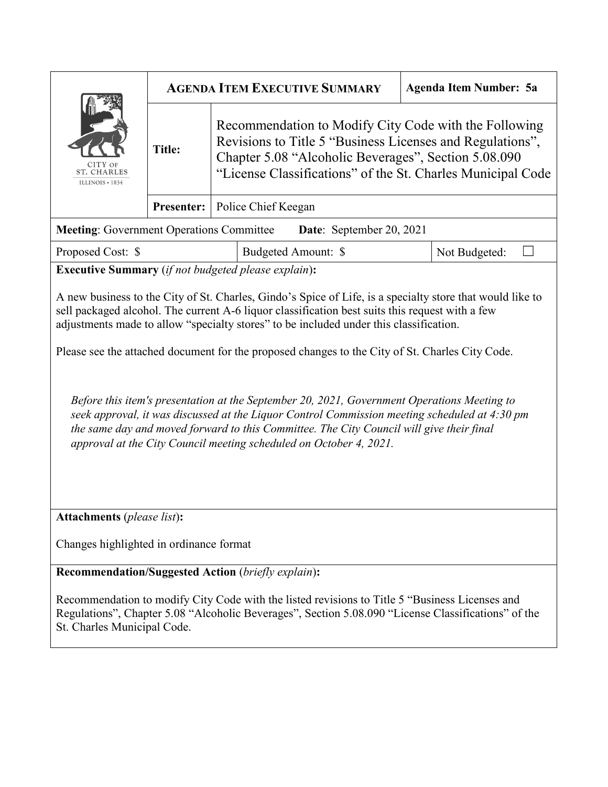| СІТҮ ОЕ<br><b>ST. CHARLES</b><br>ILLINOIS + 1834                                                                                                                                                                                                                                                                                                                                                          | <b>AGENDA ITEM EXECUTIVE SUMMARY</b> |                                                                                                                                                                                                                                           |                     | <b>Agenda Item Number: 5a</b> |               |
|-----------------------------------------------------------------------------------------------------------------------------------------------------------------------------------------------------------------------------------------------------------------------------------------------------------------------------------------------------------------------------------------------------------|--------------------------------------|-------------------------------------------------------------------------------------------------------------------------------------------------------------------------------------------------------------------------------------------|---------------------|-------------------------------|---------------|
|                                                                                                                                                                                                                                                                                                                                                                                                           | <b>Title:</b>                        | Recommendation to Modify City Code with the Following<br>Revisions to Title 5 "Business Licenses and Regulations",<br>Chapter 5.08 "Alcoholic Beverages", Section 5.08.090<br>"License Classifications" of the St. Charles Municipal Code |                     |                               |               |
|                                                                                                                                                                                                                                                                                                                                                                                                           | <b>Presenter:</b>                    | Police Chief Keegan                                                                                                                                                                                                                       |                     |                               |               |
| <b>Meeting: Government Operations Committee</b><br>Date: September 20, 2021                                                                                                                                                                                                                                                                                                                               |                                      |                                                                                                                                                                                                                                           |                     |                               |               |
| Proposed Cost: \$                                                                                                                                                                                                                                                                                                                                                                                         |                                      |                                                                                                                                                                                                                                           | Budgeted Amount: \$ |                               | Not Budgeted: |
| <b>Executive Summary</b> (if not budgeted please explain):                                                                                                                                                                                                                                                                                                                                                |                                      |                                                                                                                                                                                                                                           |                     |                               |               |
| A new business to the City of St. Charles, Gindo's Spice of Life, is a specialty store that would like to<br>sell packaged alcohol. The current A-6 liquor classification best suits this request with a few<br>adjustments made to allow "specialty stores" to be included under this classification.<br>Please see the attached document for the proposed changes to the City of St. Charles City Code. |                                      |                                                                                                                                                                                                                                           |                     |                               |               |
| Before this item's presentation at the September 20, 2021, Government Operations Meeting to<br>seek approval, it was discussed at the Liquor Control Commission meeting scheduled at 4:30 pm<br>the same day and moved forward to this Committee. The City Council will give their final<br>approval at the City Council meeting scheduled on October 4, 2021.                                            |                                      |                                                                                                                                                                                                                                           |                     |                               |               |
| <b>Attachments</b> (please list):                                                                                                                                                                                                                                                                                                                                                                         |                                      |                                                                                                                                                                                                                                           |                     |                               |               |
| Changes highlighted in ordinance format                                                                                                                                                                                                                                                                                                                                                                   |                                      |                                                                                                                                                                                                                                           |                     |                               |               |
| Recommendation/Suggested Action (briefly explain):                                                                                                                                                                                                                                                                                                                                                        |                                      |                                                                                                                                                                                                                                           |                     |                               |               |

Recommendation to modify City Code with the listed revisions to Title 5 "Business Licenses and Regulations", Chapter 5.08 "Alcoholic Beverages", Section 5.08.090 "License Classifications" of the St. Charles Municipal Code.